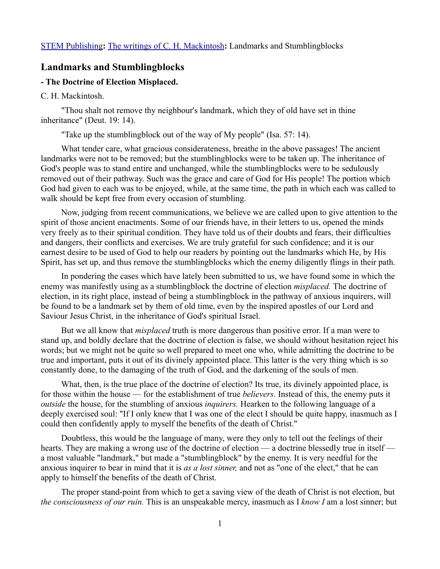## **Landmarks and Stumblingblocks**

## **- The Doctrine of Election Misplaced.**

## C. H. Mackintosh.

"Thou shalt not remove thy neighbour's landmark, which they of old have set in thine inheritance" (Deut. 19: 14).

"Take up the stumblingblock out of the way of My people" (Isa. 57: 14).

What tender care, what gracious considerateness, breathe in the above passages! The ancient landmarks were not to be removed; but the stumblingblocks were to be taken up. The inheritance of God's people was to stand entire and unchanged, while the stumblingblocks were to be sedulously removed out of their pathway. Such was the grace and care of God for His people! The portion which God had given to each was to be enjoyed, while, at the same time, the path in which each was called to walk should be kept free from every occasion of stumbling.

Now, judging from recent communications, we believe we are called upon to give attention to the spirit of those ancient enactments. Some of our friends have, in their letters to us, opened the minds very freely as to their spiritual condition. They have told us of their doubts and fears, their difficulties and dangers, their conflicts and exercises. We are truly grateful for such confidence; and it is our earnest desire to be used of God to help our readers by pointing out the landmarks which He, by His Spirit, has set up, and thus remove the stumblingblocks which the enemy diligently flings in their path.

In pondering the cases which have lately been submitted to us, we have found some in which the enemy was manifestly using as a stumblingblock the doctrine of election *misplaced.* The doctrine of election, in its right place, instead of being a stumblingblock in the pathway of anxious inquirers, will be found to be a landmark set by them of old time, even by the inspired apostles of our Lord and Saviour Jesus Christ, in the inheritance of God's spiritual Israel.

But we all know that *misplaced* truth is more dangerous than positive error. If a man were to stand up, and boldly declare that the doctrine of election is false, we should without hesitation reject his words; but we might not be quite so well prepared to meet one who, while admitting the doctrine to be true and important, puts it out of its divinely appointed place. This latter is the very thing which is so constantly done, to the damaging of the truth of God, and the darkening of the souls of men.

What, then, is the true place of the doctrine of election? Its true, its divinely appointed place, is for those within the house — for the establishment of true *believers.* Instead of this, the enemy puts it *outside* the house, for the stumbling of anxious *inquirers.* Hearken to the following language of a deeply exercised soul: "If I only knew that I was one of the elect I should be quite happy, inasmuch as I could then confidently apply to myself the benefits of the death of Christ."

Doubtless, this would be the language of many, were they only to tell out the feelings of their hearts. They are making a wrong use of the doctrine of election — a doctrine blessedly true in itself a most valuable "landmark," but made a "stumblingblock" by the enemy. It is very needful for the anxious inquirer to bear in mind that it is *as a lost sinner,* and not as "one of the elect," that he can apply to himself the benefits of the death of Christ.

The proper stand-point from which to get a saving view of the death of Christ is not election, but *the consciousness of our ruin.* This is an unspeakable mercy, inasmuch as I *know I* am a lost sinner; but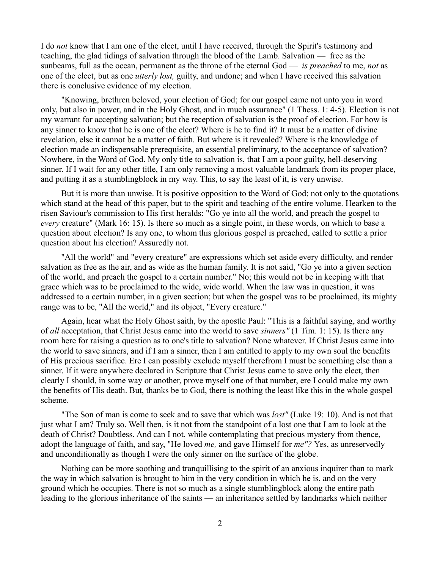I do *not* know that I am one of the elect, until I have received, through the Spirit's testimony and teaching, the glad tidings of salvation through the blood of the Lamb. Salvation — free as the sunbeams, full as the ocean, permanent as the throne of the eternal God — *is preached* to me, *not* as one of the elect, but as one *utterly lost,* guilty, and undone; and when I have received this salvation there is conclusive evidence of my election.

"Knowing, brethren beloved, your election of God; for our gospel came not unto you in word only, but also in power, and in the Holy Ghost, and in much assurance" (1 Thess. 1: 4-5). Election is not my warrant for accepting salvation; but the reception of salvation is the proof of election. For how is any sinner to know that he is one of the elect? Where is he to find it? It must be a matter of divine revelation, else it cannot be a matter of faith. But where is it revealed? Where is the knowledge of election made an indispensable prerequisite, an essential preliminary, to the acceptance of salvation? Nowhere, in the Word of God. My only title to salvation is, that I am a poor guilty, hell-deserving sinner. If I wait for any other title, I am only removing a most valuable landmark from its proper place, and putting it as a stumblingblock in my way. This, to say the least of it, is very unwise.

But it is more than unwise. It is positive opposition to the Word of God; not only to the quotations which stand at the head of this paper, but to the spirit and teaching of the entire volume. Hearken to the risen Saviour's commission to His first heralds: "Go ye into all the world, and preach the gospel to *every* creature" (Mark 16: 15). Is there so much as a single point, in these words, on which to base a question about election? Is any one, to whom this glorious gospel is preached, called to settle a prior question about his election? Assuredly not.

"All the world" and "every creature" are expressions which set aside every difficulty, and render salvation as free as the air, and as wide as the human family. It is not said, "Go ye into a given section of the world, and preach the gospel to a certain number." No; this would not be in keeping with that grace which was to be proclaimed to the wide, wide world. When the law was in question, it was addressed to a certain number, in a given section; but when the gospel was to be proclaimed, its mighty range was to be, "All the world," and its object, "Every creature."

Again, hear what the Holy Ghost saith, by the apostle Paul: "This is a faithful saying, and worthy of *all* acceptation, that Christ Jesus came into the world to save *sinners"* (1 Tim. 1: 15). Is there any room here for raising a question as to one's title to salvation? None whatever. If Christ Jesus came into the world to save sinners, and if I am a sinner, then I am entitled to apply to my own soul the benefits of His precious sacrifice. Ere I can possibly exclude myself therefrom I must be something else than a sinner. If it were anywhere declared in Scripture that Christ Jesus came to save only the elect, then clearly I should, in some way or another, prove myself one of that number, ere I could make my own the benefits of His death. But, thanks be to God, there is nothing the least like this in the whole gospel scheme.

"The Son of man is come to seek and to save that which was *lost"* (Luke 19: 10). And is not that just what I am? Truly so. Well then, is it not from the standpoint of a lost one that I am to look at the death of Christ? Doubtless. And can I not, while contemplating that precious mystery from thence, adopt the language of faith, and say, "He loved *me,* and gave Himself for *me"?* Yes, as unreservedly and unconditionally as though I were the only sinner on the surface of the globe.

Nothing can be more soothing and tranquillising to the spirit of an anxious inquirer than to mark the way in which salvation is brought to him in the very condition in which he is, and on the very ground which he occupies. There is not so much as a single stumblingblock along the entire path leading to the glorious inheritance of the saints — an inheritance settled by landmarks which neither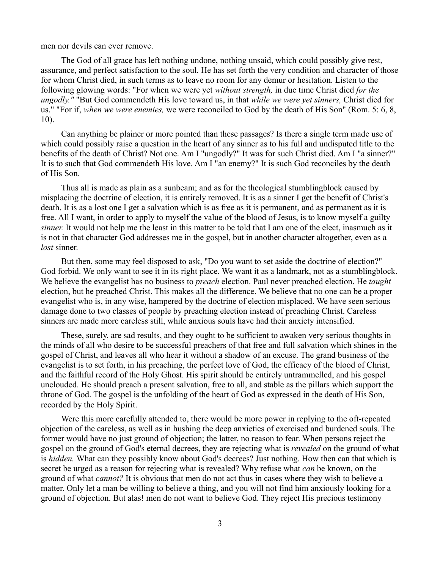men nor devils can ever remove.

The God of all grace has left nothing undone, nothing unsaid, which could possibly give rest, assurance, and perfect satisfaction to the soul. He has set forth the very condition and character of those for whom Christ died, in such terms as to leave no room for any demur or hesitation. Listen to the following glowing words: "For when we were yet *without strength,* in due time Christ died *for the ungodly."* "But God commendeth His love toward us, in that *while we were yet sinners,* Christ died for us." "For if, *when we were enemies,* we were reconciled to God by the death of His Son" (Rom. 5: 6, 8, 10).

Can anything be plainer or more pointed than these passages? Is there a single term made use of which could possibly raise a question in the heart of any sinner as to his full and undisputed title to the benefits of the death of Christ? Not one. Am I "ungodly?" It was for such Christ died. Am I "a sinner?" It is to such that God commendeth His love. Am I "an enemy?" It is such God reconciles by the death of His Son.

Thus all is made as plain as a sunbeam; and as for the theological stumblingblock caused by misplacing the doctrine of election, it is entirely removed. It is as a sinner I get the benefit of Christ's death. It is as a lost one I get a salvation which is as free as it is permanent, and as permanent as it is free. All I want, in order to apply to myself the value of the blood of Jesus, is to know myself a guilty *sinner.* It would not help me the least in this matter to be told that I am one of the elect, inasmuch as it is not in that character God addresses me in the gospel, but in another character altogether, even as a *lost* sinner.

But then, some may feel disposed to ask, "Do you want to set aside the doctrine of election?" God forbid. We only want to see it in its right place. We want it as a landmark, not as a stumblingblock. We believe the evangelist has no business to *preach* election. Paul never preached election. He *taught* election, but he preached Christ. This makes all the difference. We believe that no one can be a proper evangelist who is, in any wise, hampered by the doctrine of election misplaced. We have seen serious damage done to two classes of people by preaching election instead of preaching Christ. Careless sinners are made more careless still, while anxious souls have had their anxiety intensified.

These, surely, are sad results, and they ought to be sufficient to awaken very serious thoughts in the minds of all who desire to be successful preachers of that free and full salvation which shines in the gospel of Christ, and leaves all who hear it without a shadow of an excuse. The grand business of the evangelist is to set forth, in his preaching, the perfect love of God, the efficacy of the blood of Christ, and the faithful record of the Holy Ghost. His spirit should be entirely untrammelled, and his gospel unclouded. He should preach a present salvation, free to all, and stable as the pillars which support the throne of God. The gospel is the unfolding of the heart of God as expressed in the death of His Son, recorded by the Holy Spirit.

Were this more carefully attended to, there would be more power in replying to the oft-repeated objection of the careless, as well as in hushing the deep anxieties of exercised and burdened souls. The former would have no just ground of objection; the latter, no reason to fear. When persons reject the gospel on the ground of God's eternal decrees, they are rejecting what is *revealed* on the ground of what is *hidden.* What can they possibly know about God's decrees? Just nothing. How then can that which is secret be urged as a reason for rejecting what is revealed? Why refuse what *can* be known, on the ground of what *cannot?* It is obvious that men do not act thus in cases where they wish to believe a matter. Only let a man be willing to believe a thing, and you will not find him anxiously looking for a ground of objection. But alas! men do not want to believe God. They reject His precious testimony